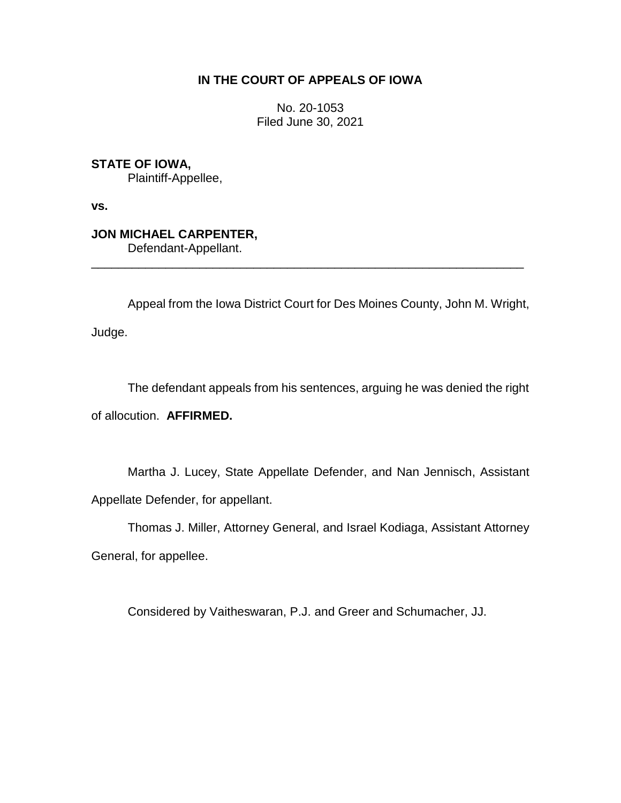# **IN THE COURT OF APPEALS OF IOWA**

No. 20-1053 Filed June 30, 2021

**STATE OF IOWA,**

Plaintiff-Appellee,

**vs.**

**JON MICHAEL CARPENTER,** Defendant-Appellant.

Appeal from the Iowa District Court for Des Moines County, John M. Wright, Judge.

\_\_\_\_\_\_\_\_\_\_\_\_\_\_\_\_\_\_\_\_\_\_\_\_\_\_\_\_\_\_\_\_\_\_\_\_\_\_\_\_\_\_\_\_\_\_\_\_\_\_\_\_\_\_\_\_\_\_\_\_\_\_\_\_

The defendant appeals from his sentences, arguing he was denied the right of allocution. **AFFIRMED.**

Martha J. Lucey, State Appellate Defender, and Nan Jennisch, Assistant Appellate Defender, for appellant.

Thomas J. Miller, Attorney General, and Israel Kodiaga, Assistant Attorney

General, for appellee.

Considered by Vaitheswaran, P.J. and Greer and Schumacher, JJ.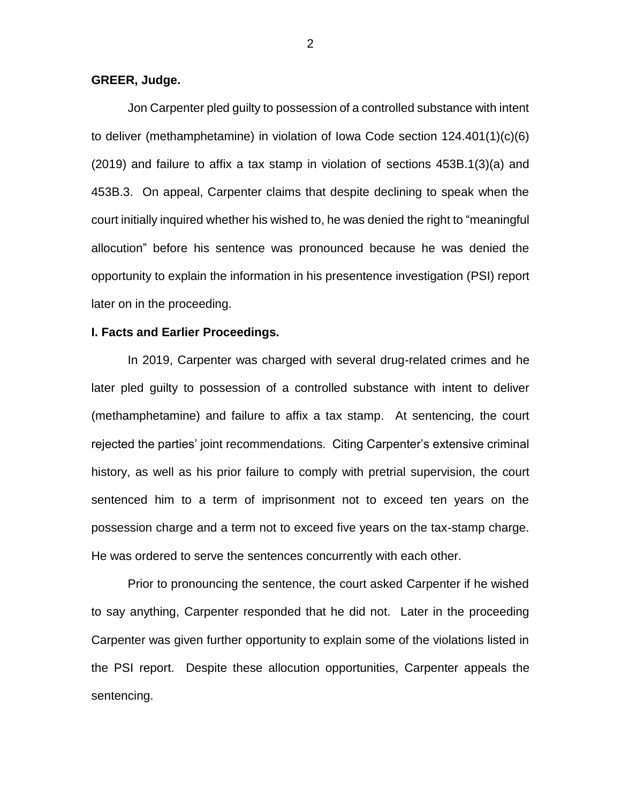# **GREER, Judge.**

Jon Carpenter pled guilty to possession of a controlled substance with intent to deliver (methamphetamine) in violation of Iowa Code section 124.401(1)(c)(6) (2019) and failure to affix a tax stamp in violation of sections 453B.1(3)(a) and 453B.3. On appeal, Carpenter claims that despite declining to speak when the court initially inquired whether his wished to, he was denied the right to "meaningful allocution" before his sentence was pronounced because he was denied the opportunity to explain the information in his presentence investigation (PSI) report later on in the proceeding.

# **I. Facts and Earlier Proceedings.**

In 2019, Carpenter was charged with several drug-related crimes and he later pled guilty to possession of a controlled substance with intent to deliver (methamphetamine) and failure to affix a tax stamp. At sentencing, the court rejected the parties' joint recommendations. Citing Carpenter's extensive criminal history, as well as his prior failure to comply with pretrial supervision, the court sentenced him to a term of imprisonment not to exceed ten years on the possession charge and a term not to exceed five years on the tax-stamp charge. He was ordered to serve the sentences concurrently with each other.

Prior to pronouncing the sentence, the court asked Carpenter if he wished to say anything, Carpenter responded that he did not. Later in the proceeding Carpenter was given further opportunity to explain some of the violations listed in the PSI report. Despite these allocution opportunities, Carpenter appeals the sentencing.

2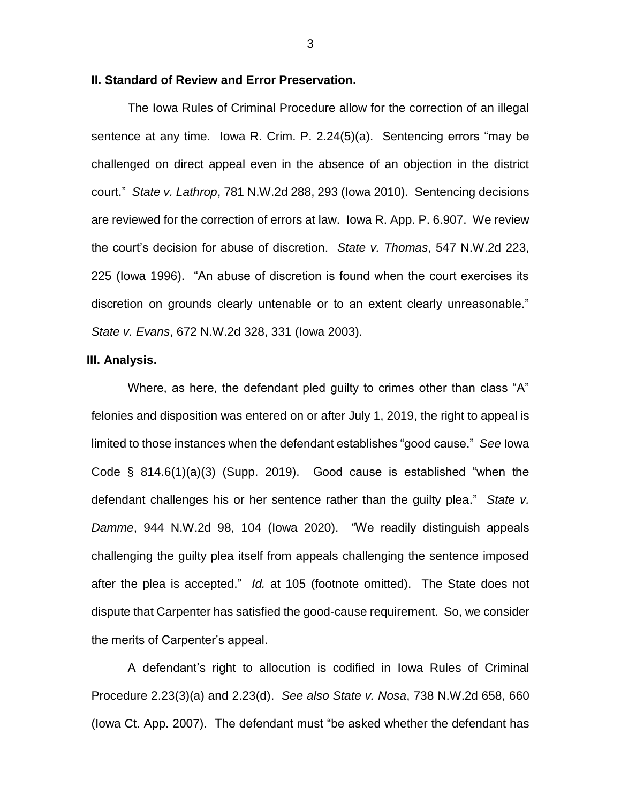## **II. Standard of Review and Error Preservation.**

The Iowa Rules of Criminal Procedure allow for the correction of an illegal sentence at any time. Iowa R. Crim. P. 2.24(5)(a). Sentencing errors "may be challenged on direct appeal even in the absence of an objection in the district court." *State v. Lathrop*, 781 N.W.2d 288, 293 (Iowa 2010). Sentencing decisions are reviewed for the correction of errors at law. Iowa R. App. P. 6.907. We review the court's decision for abuse of discretion. *State v. Thomas*, 547 N.W.2d 223, 225 (Iowa 1996). "An abuse of discretion is found when the court exercises its discretion on grounds clearly untenable or to an extent clearly unreasonable." *State v. Evans*, 672 N.W.2d 328, 331 (Iowa 2003).

### **III. Analysis.**

Where, as here, the defendant pled guilty to crimes other than class "A" felonies and disposition was entered on or after July 1, 2019, the right to appeal is limited to those instances when the defendant establishes "good cause." *See* Iowa Code  $\S$  814.6(1)(a)(3) (Supp. 2019). Good cause is established "when the defendant challenges his or her sentence rather than the guilty plea." *State v. Damme*, 944 N.W.2d 98, 104 (Iowa 2020). "We readily distinguish appeals challenging the guilty plea itself from appeals challenging the sentence imposed after the plea is accepted." *Id.* at 105 (footnote omitted). The State does not dispute that Carpenter has satisfied the good-cause requirement. So, we consider the merits of Carpenter's appeal.

A defendant's right to allocution is codified in Iowa Rules of Criminal Procedure 2.23(3)(a) and 2.23(d). *See also State v. Nosa*, 738 N.W.2d 658, 660 (Iowa Ct. App. 2007). The defendant must "be asked whether the defendant has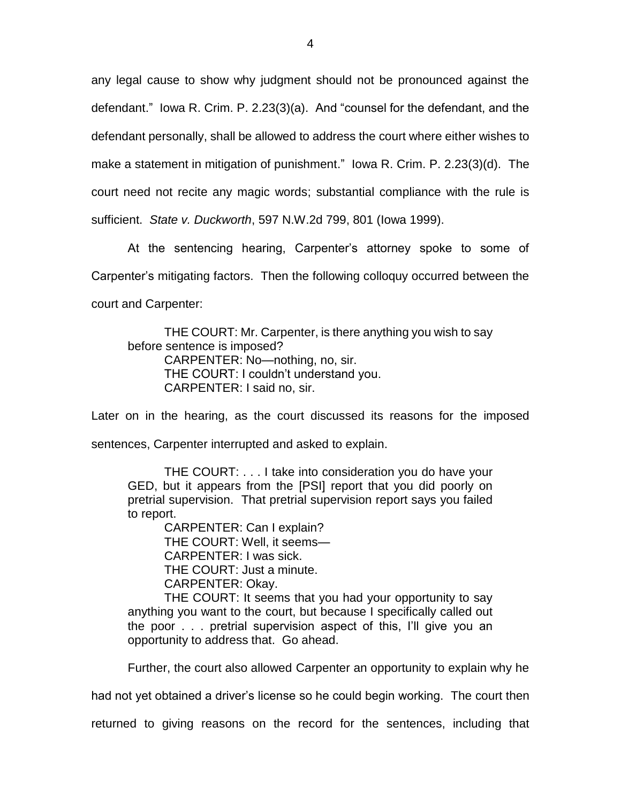any legal cause to show why judgment should not be pronounced against the defendant." Iowa R. Crim. P. 2.23(3)(a). And "counsel for the defendant, and the defendant personally, shall be allowed to address the court where either wishes to make a statement in mitigation of punishment." Iowa R. Crim. P. 2.23(3)(d). The court need not recite any magic words; substantial compliance with the rule is sufficient. *State v. Duckworth*, 597 N.W.2d 799, 801 (Iowa 1999).

At the sentencing hearing, Carpenter's attorney spoke to some of Carpenter's mitigating factors. Then the following colloquy occurred between the court and Carpenter:

THE COURT: Mr. Carpenter, is there anything you wish to say before sentence is imposed? CARPENTER: No—nothing, no, sir. THE COURT: I couldn't understand you. CARPENTER: I said no, sir.

Later on in the hearing, as the court discussed its reasons for the imposed sentences, Carpenter interrupted and asked to explain.

THE COURT: . . . I take into consideration you do have your GED, but it appears from the [PSI] report that you did poorly on pretrial supervision. That pretrial supervision report says you failed to report.

> CARPENTER: Can I explain? THE COURT: Well, it seems— CARPENTER: I was sick. THE COURT: Just a minute. CARPENTER: Okay.

THE COURT: It seems that you had your opportunity to say anything you want to the court, but because I specifically called out the poor . . . pretrial supervision aspect of this, I'll give you an opportunity to address that. Go ahead.

Further, the court also allowed Carpenter an opportunity to explain why he

had not yet obtained a driver's license so he could begin working. The court then

returned to giving reasons on the record for the sentences, including that